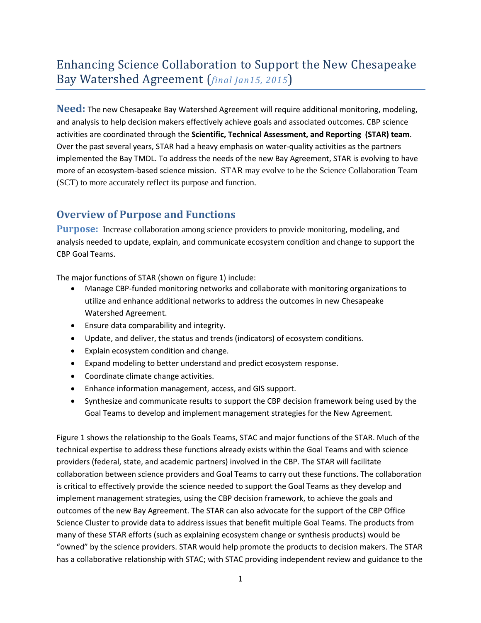# Enhancing Science Collaboration to Support the New Chesapeake Bay Watershed Agreement (*final Jan15, 2015*)

**Need:** The new Chesapeake Bay Watershed Agreement will require additional monitoring, modeling, and analysis to help decision makers effectively achieve goals and associated outcomes. CBP science activities are coordinated through the **Scientific, Technical Assessment, and Reporting (STAR) team**. Over the past several years, STAR had a heavy emphasis on water-quality activities as the partners implemented the Bay TMDL. To address the needs of the new Bay Agreement, STAR is evolving to have more of an ecosystem-based science mission. STAR may evolve to be the Science Collaboration Team (SCT) to more accurately reflect its purpose and function.

# **Overview of Purpose and Functions**

**Purpose:** Increase collaboration among science providers to provide monitoring, modeling, and analysis needed to update, explain, and communicate ecosystem condition and change to support the CBP Goal Teams.

The major functions of STAR (shown on figure 1) include:

- Manage CBP-funded monitoring networks and collaborate with monitoring organizations to utilize and enhance additional networks to address the outcomes in new Chesapeake Watershed Agreement.
- Ensure data comparability and integrity.
- Update, and deliver, the status and trends (indicators) of ecosystem conditions.
- Explain ecosystem condition and change.
- Expand modeling to better understand and predict ecosystem response.
- Coordinate climate change activities.
- Enhance information management, access, and GIS support.
- Synthesize and communicate results to support the CBP decision framework being used by the Goal Teams to develop and implement management strategies for the New Agreement.

Figure 1 shows the relationship to the Goals Teams, STAC and major functions of the STAR. Much of the technical expertise to address these functions already exists within the Goal Teams and with science providers (federal, state, and academic partners) involved in the CBP. The STAR will facilitate collaboration between science providers and Goal Teams to carry out these functions. The collaboration is critical to effectively provide the science needed to support the Goal Teams as they develop and implement management strategies, using the CBP decision framework, to achieve the goals and outcomes of the new Bay Agreement. The STAR can also advocate for the support of the CBP Office Science Cluster to provide data to address issues that benefit multiple Goal Teams. The products from many of these STAR efforts (such as explaining ecosystem change or synthesis products) would be "owned" by the science providers. STAR would help promote the products to decision makers. The STAR has a collaborative relationship with STAC; with STAC providing independent review and guidance to the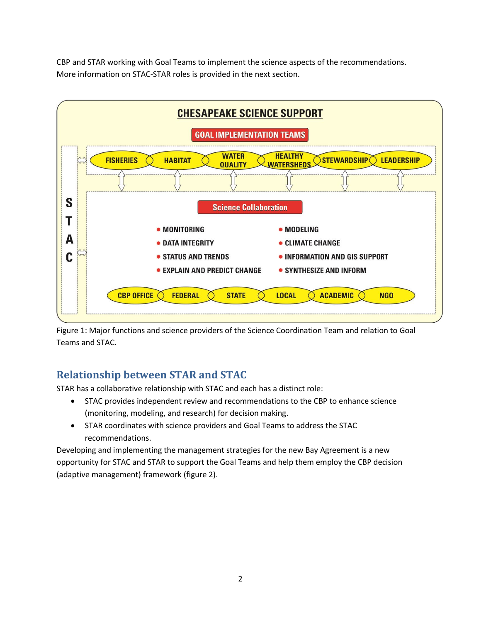CBP and STAR working with Goal Teams to implement the science aspects of the recommendations. More information on STAC-STAR roles is provided in the next section.



Figure 1: Major functions and science providers of the Science Coordination Team and relation to Goal Teams and STAC.

# **Relationship between STAR and STAC**

STAR has a collaborative relationship with STAC and each has a distinct role:

- STAC provides independent review and recommendations to the CBP to enhance science (monitoring, modeling, and research) for decision making.
- STAR coordinates with science providers and Goal Teams to address the STAC recommendations.

Developing and implementing the management strategies for the new Bay Agreement is a new opportunity for STAC and STAR to support the Goal Teams and help them employ the CBP decision (adaptive management) framework (figure 2).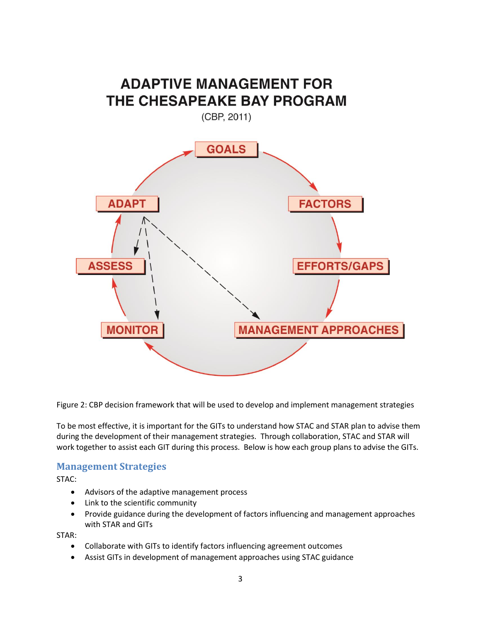

Figure 2: CBP decision framework that will be used to develop and implement management strategies

To be most effective, it is important for the GITs to understand how STAC and STAR plan to advise them during the development of their management strategies. Through collaboration, STAC and STAR will work together to assist each GIT during this process. Below is how each group plans to advise the GITs.

#### **Management Strategies**

STAC:

- Advisors of the adaptive management process
- Link to the scientific community
- Provide guidance during the development of factors influencing and management approaches with STAR and GITs

STAR:

- Collaborate with GITs to identify factors influencing agreement outcomes
- Assist GITs in development of management approaches using STAC guidance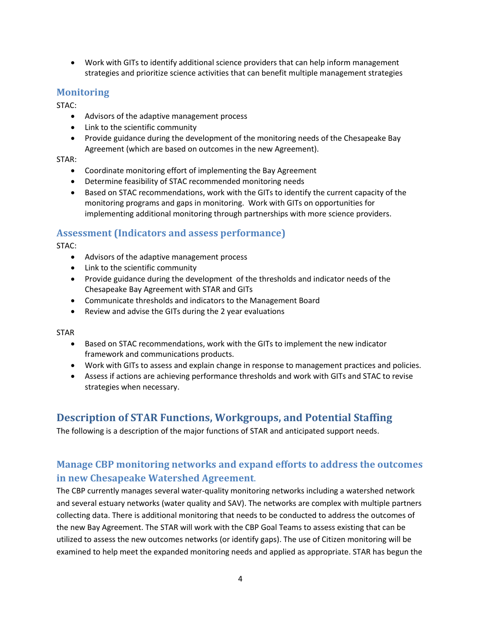• Work with GITs to identify additional science providers that can help inform management strategies and prioritize science activities that can benefit multiple management strategies

### **Monitoring**

STAC:

- Advisors of the adaptive management process
- Link to the scientific community
- Provide guidance during the development of the monitoring needs of the Chesapeake Bay Agreement (which are based on outcomes in the new Agreement).

#### STAR:

- Coordinate monitoring effort of implementing the Bay Agreement
- Determine feasibility of STAC recommended monitoring needs
- Based on STAC recommendations, work with the GITs to identify the current capacity of the monitoring programs and gaps in monitoring. Work with GITs on opportunities for implementing additional monitoring through partnerships with more science providers.

### **Assessment (Indicators and assess performance)**

STAC:

- Advisors of the adaptive management process
- Link to the scientific community
- Provide guidance during the development of the thresholds and indicator needs of the Chesapeake Bay Agreement with STAR and GITs
- Communicate thresholds and indicators to the Management Board
- Review and advise the GITs during the 2 year evaluations

STAR

- Based on STAC recommendations, work with the GITs to implement the new indicator framework and communications products.
- Work with GITs to assess and explain change in response to management practices and policies.
- Assess if actions are achieving performance thresholds and work with GITs and STAC to revise strategies when necessary.

# **Description of STAR Functions, Workgroups, and Potential Staffing**

The following is a description of the major functions of STAR and anticipated support needs.

# **Manage CBP monitoring networks and expand efforts to address the outcomes in new Chesapeake Watershed Agreement**.

The CBP currently manages several water-quality monitoring networks including a watershed network and several estuary networks (water quality and SAV). The networks are complex with multiple partners collecting data. There is additional monitoring that needs to be conducted to address the outcomes of the new Bay Agreement. The STAR will work with the CBP Goal Teams to assess existing that can be utilized to assess the new outcomes networks (or identify gaps). The use of Citizen monitoring will be examined to help meet the expanded monitoring needs and applied as appropriate. STAR has begun the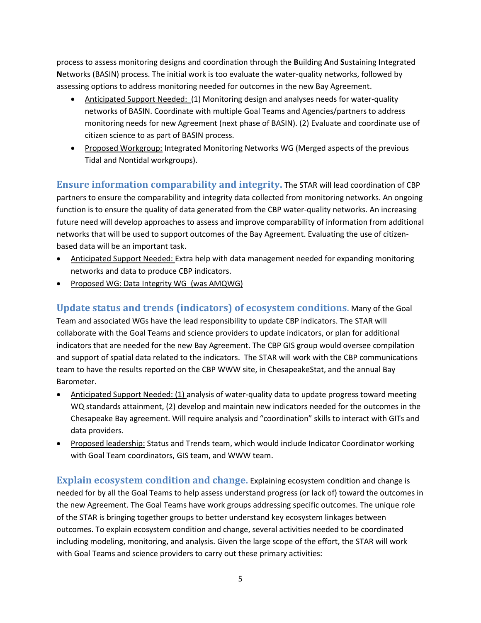process to assess monitoring designs and coordination through the **B**uilding **A**nd **S**ustaining **I**ntegrated **N**etworks (BASIN) process. The initial work is too evaluate the water-quality networks, followed by assessing options to address monitoring needed for outcomes in the new Bay Agreement.

- Anticipated Support Needed: (1) Monitoring design and analyses needs for water-quality networks of BASIN. Coordinate with multiple Goal Teams and Agencies/partners to address monitoring needs for new Agreement (next phase of BASIN). (2) Evaluate and coordinate use of citizen science to as part of BASIN process.
- Proposed Workgroup: Integrated Monitoring Networks WG (Merged aspects of the previous Tidal and Nontidal workgroups).

**Ensure information comparability and integrity.** The STAR will lead coordination of CBP partners to ensure the comparability and integrity data collected from monitoring networks. An ongoing function is to ensure the quality of data generated from the CBP water-quality networks. An increasing future need will develop approaches to assess and improve comparability of information from additional networks that will be used to support outcomes of the Bay Agreement. Evaluating the use of citizenbased data will be an important task.

- Anticipated Support Needed: Extra help with data management needed for expanding monitoring networks and data to produce CBP indicators.
- Proposed WG: Data Integrity WG (was AMQWG)

**Update status and trends (indicators) of ecosystem conditions.** Many of the Goal Team and associated WGs have the lead responsibility to update CBP indicators. The STAR will collaborate with the Goal Teams and science providers to update indicators, or plan for additional indicators that are needed for the new Bay Agreement. The CBP GIS group would oversee compilation and support of spatial data related to the indicators. The STAR will work with the CBP communications team to have the results reported on the CBP WWW site, in ChesapeakeStat, and the annual Bay Barometer.

- Anticipated Support Needed: (1) analysis of water-quality data to update progress toward meeting WQ standards attainment, (2) develop and maintain new indicators needed for the outcomes in the Chesapeake Bay agreement. Will require analysis and "coordination" skills to interact with GITs and data providers.
- Proposed leadership: Status and Trends team, which would include Indicator Coordinator working with Goal Team coordinators, GIS team, and WWW team.

**Explain ecosystem condition and change.** Explaining ecosystem condition and change is needed for by all the Goal Teams to help assess understand progress (or lack of) toward the outcomes in the new Agreement. The Goal Teams have work groups addressing specific outcomes. The unique role of the STAR is bringing together groups to better understand key ecosystem linkages between outcomes. To explain ecosystem condition and change, several activities needed to be coordinated including modeling, monitoring, and analysis. Given the large scope of the effort, the STAR will work with Goal Teams and science providers to carry out these primary activities: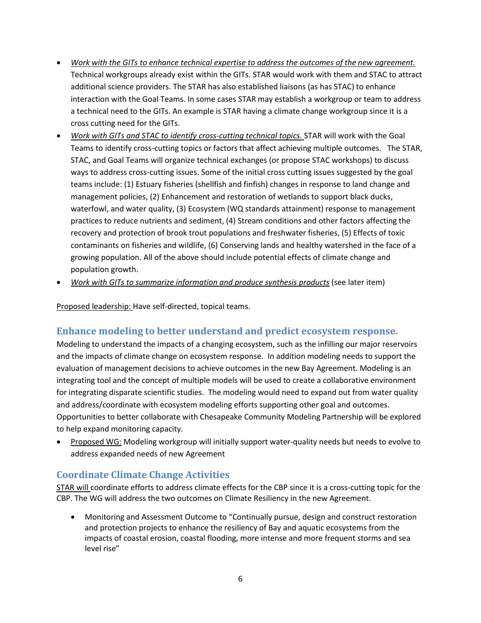- *Work with the GITs to enhance technical expertise to address the outcomes of the new agreement.* Technical workgroups already exist within the GITs. STAR would work with them and STAC to attract additional science providers. The STAR has also established liaisons (as has STAC) to enhance interaction with the Goal Teams. In some cases STAR may establish a workgroup or team to address a technical need to the GITs. An example is STAR having a climate change workgroup since it is a cross cutting need for the GITs.
- *Work with GITs and STAC to identify cross-cutting technical topics.* STAR will work with the Goal Teams to identify cross-cutting topics or factors that affect achieving multiple outcomes. The STAR, STAC, and Goal Teams will organize technical exchanges (or propose STAC workshops) to discuss ways to address cross-cutting issues. Some of the initial cross cutting issues suggested by the goal teams include: (1) Estuary fisheries (shellfish and finfish) changes in response to land change and management policies, (2) Enhancement and restoration of wetlands to support black ducks, waterfowl, and water quality, (3) Ecosystem (WQ standards attainment) response to management practices to reduce nutrients and sediment, (4) Stream conditions and other factors affecting the recovery and protection of brook trout populations and freshwater fisheries, (5) Effects of toxic contaminants on fisheries and wildlife, (6) Conserving lands and healthy watershed in the face of a growing population. All of the above should include potential effects of climate change and population growth.
- *Work with GITs to summarize information and produce synthesis products* (see later item)

Proposed leadership: Have self-directed, topical teams.

#### **Enhance modeling to better understand and predict ecosystem response.**

Modeling to understand the impacts of a changing ecosystem, such as the infilling our major reservoirs and the impacts of climate change on ecosystem response. In addition modeling needs to support the evaluation of management decisions to achieve outcomes in the new Bay Agreement. Modeling is an integrating tool and the concept of multiple models will be used to create a collaborative environment for integrating disparate scientific studies. The modeling would need to expand out from water quality and address/coordinate with ecosystem modeling efforts supporting other goal and outcomes. Opportunities to better collaborate with Chesapeake Community Modeling Partnership will be explored to help expand monitoring capacity.

• Proposed WG: Modeling workgroup will initially support water-quality needs but needs to evolve to address expanded needs of new Agreement

#### **Coordinate Climate Change Activities**

STAR will coordinate efforts to address climate effects for the CBP since it is a cross-cutting topic for the CBP. The WG will address the two outcomes on Climate Resiliency in the new Agreement.

• Monitoring and Assessment Outcome to "Continually pursue, design and construct restoration and protection projects to enhance the resiliency of Bay and aquatic ecosystems from the impacts of coastal erosion, coastal flooding, more intense and more frequent storms and sea level rise"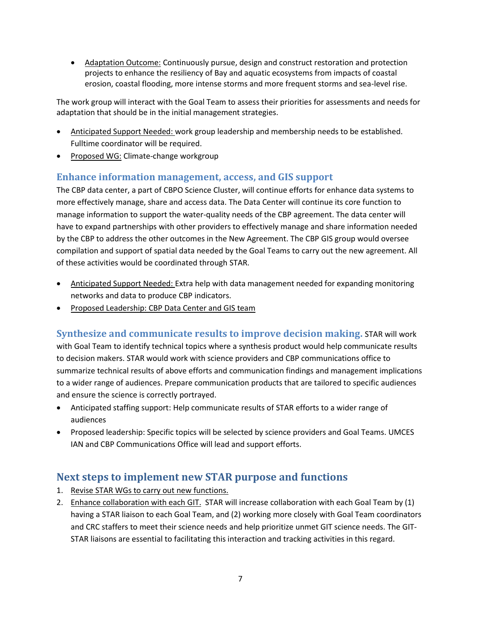• Adaptation Outcome: Continuously pursue, design and construct restoration and protection projects to enhance the resiliency of Bay and aquatic ecosystems from impacts of coastal erosion, coastal flooding, more intense storms and more frequent storms and sea-level rise.

The work group will interact with the Goal Team to assess their priorities for assessments and needs for adaptation that should be in the initial management strategies.

- Anticipated Support Needed: work group leadership and membership needs to be established. Fulltime coordinator will be required.
- Proposed WG: Climate-change workgroup

#### **Enhance information management, access, and GIS support**

The CBP data center, a part of CBPO Science Cluster, will continue efforts for enhance data systems to more effectively manage, share and access data. The Data Center will continue its core function to manage information to support the water-quality needs of the CBP agreement. The data center will have to expand partnerships with other providers to effectively manage and share information needed by the CBP to address the other outcomes in the New Agreement. The CBP GIS group would oversee compilation and support of spatial data needed by the Goal Teams to carry out the new agreement. All of these activities would be coordinated through STAR.

- Anticipated Support Needed: Extra help with data management needed for expanding monitoring networks and data to produce CBP indicators.
- Proposed Leadership: CBP Data Center and GIS team

**Synthesize and communicate results to improve decision making.** STAR will work with Goal Team to identify technical topics where a synthesis product would help communicate results to decision makers. STAR would work with science providers and CBP communications office to summarize technical results of above efforts and communication findings and management implications to a wider range of audiences. Prepare communication products that are tailored to specific audiences and ensure the science is correctly portrayed.

- Anticipated staffing support: Help communicate results of STAR efforts to a wider range of audiences
- Proposed leadership: Specific topics will be selected by science providers and Goal Teams. UMCES IAN and CBP Communications Office will lead and support efforts.

# **Next steps to implement new STAR purpose and functions**

- 1. Revise STAR WGs to carry out new functions.
- 2. Enhance collaboration with each GIT. STAR will increase collaboration with each Goal Team by (1) having a STAR liaison to each Goal Team, and (2) working more closely with Goal Team coordinators and CRC staffers to meet their science needs and help prioritize unmet GIT science needs. The GIT-STAR liaisons are essential to facilitating this interaction and tracking activities in this regard.